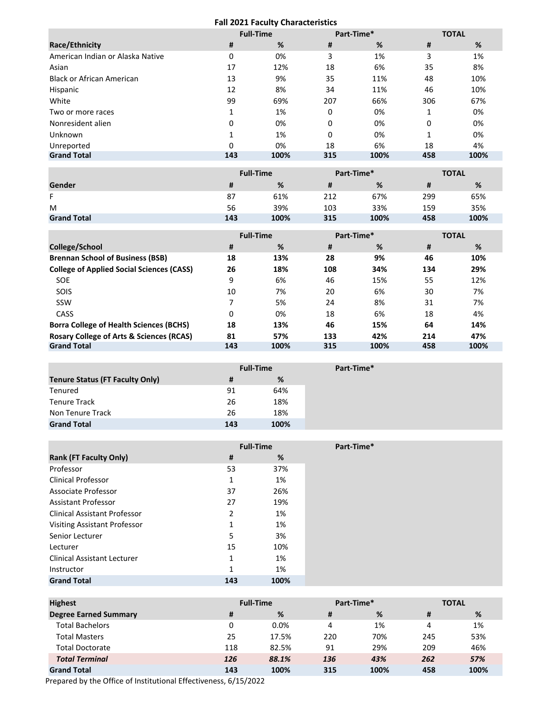## **Fall 2021 Faculty Characteristics**

|                                  |     | <b>Full-Time</b><br>Part-Time* |     | <b>TOTAL</b> |     |      |
|----------------------------------|-----|--------------------------------|-----|--------------|-----|------|
| Race/Ethnicity                   | #   | %                              | #   | %            | #   | %    |
| American Indian or Alaska Native | 0   | 0%                             | 3   | 1%           | 3   | 1%   |
| Asian                            | 17  | 12%                            | 18  | 6%           | 35  | 8%   |
| <b>Black or African American</b> | 13  | 9%                             | 35  | 11%          | 48  | 10%  |
| Hispanic                         | 12  | 8%                             | 34  | 11%          | 46  | 10%  |
| White                            | 99  | 69%                            | 207 | 66%          | 306 | 67%  |
| Two or more races                | 1   | 1%                             | 0   | 0%           |     | 0%   |
| Nonresident alien                | 0   | 0%                             | 0   | 0%           | 0   | 0%   |
| Unknown                          | 1   | 1%                             | 0   | 0%           |     | 0%   |
| Unreported                       | 0   | 0%                             | 18  | 6%           | 18  | 4%   |
| <b>Grand Total</b>               | 143 | 100%                           | 315 | 100%         | 458 | 100% |

|                    |     | <b>Full-Time</b> |     | Part-Time* |     | <b>TOTAL</b> |  |
|--------------------|-----|------------------|-----|------------|-----|--------------|--|
| Gender             |     | %                | #   | %          |     | %            |  |
| F                  | 87  | 61%              | 212 | 67%        | 299 | 65%          |  |
| M                  | 56  | 39%              | 103 | 33%        | 159 | 35%          |  |
| <b>Grand Total</b> | 143 | 100%             | 315 | 100%       | 458 | 100%         |  |

|                                                     |     | <b>Full-Time</b><br>Part-Time* |     |      | <b>TOTAL</b> |      |
|-----------------------------------------------------|-----|--------------------------------|-----|------|--------------|------|
| College/School                                      | #   | %                              | #   | %    | #            | %    |
| <b>Brennan School of Business (BSB)</b>             | 18  | 13%                            | 28  | 9%   | 46           | 10%  |
| <b>College of Applied Social Sciences (CASS)</b>    | 26  | 18%                            | 108 | 34%  | 134          | 29%  |
| <b>SOE</b>                                          | 9   | 6%                             | 46  | 15%  | 55           | 12%  |
| SOIS                                                | 10  | 7%                             | 20  | 6%   | 30           | 7%   |
| SSW                                                 | 7   | 5%                             | 24  | 8%   | 31           | 7%   |
| CASS                                                | 0   | 0%                             | 18  | 6%   | 18           | 4%   |
| <b>Borra College of Health Sciences (BCHS)</b>      | 18  | 13%                            | 46  | 15%  | 64           | 14%  |
| <b>Rosary College of Arts &amp; Sciences (RCAS)</b> | 81  | 57%                            | 133 | 42%  | 214          | 47%  |
| <b>Grand Total</b>                                  | 143 | 100%                           | 315 | 100% | 458          | 100% |

|                                        |     | <b>Full-Time</b> |
|----------------------------------------|-----|------------------|
| <b>Tenure Status (FT Faculty Only)</b> | #   | %                |
| Tenured                                | 91  | 64%              |
| <b>Tenure Track</b>                    | 26  | 18%              |
| Non Tenure Track                       | 26  | 18%              |
| <b>Grand Total</b>                     | 143 | 100%             |

|                                     |              | <b>Full-Time</b> |
|-------------------------------------|--------------|------------------|
| <b>Rank (FT Faculty Only)</b>       | #            | %                |
| Professor                           | 53           | 37%              |
| <b>Clinical Professor</b>           | 1            | 1%               |
| Associate Professor                 | 37           | 26%              |
| Assistant Professor                 | 27           | 19%              |
| <b>Clinical Assistant Professor</b> | 2            | 1%               |
| <b>Visiting Assistant Professor</b> | 1            | 1%               |
| Senior Lecturer                     | 5            | 3%               |
| Lecturer                            | 15           | 10%              |
| <b>Clinical Assistant Lecturer</b>  | 1            | 1%               |
| Instructor                          | $\mathbf{1}$ | 1%               |
| <b>Grand Total</b>                  | 143          | 100%             |

| <b>Highest</b>               | <b>Full-Time</b> |       | Part-Time* |      | <b>TOTAL</b> |      |
|------------------------------|------------------|-------|------------|------|--------------|------|
| <b>Degree Earned Summary</b> | #                | %     | #          | %    | #            | %    |
| <b>Total Bachelors</b>       | 0                | 0.0%  | 4          | 1%   | 4            | 1%   |
| <b>Total Masters</b>         | 25               | 17.5% | 220        | 70%  | 245          | 53%  |
| <b>Total Doctorate</b>       | 118              | 82.5% | 91         | 29%  | 209          | 46%  |
| <b>Total Terminal</b>        | 126              | 88.1% | 136        | 43%  | 262          | 57%  |
| <b>Grand Total</b>           | 143              | 100%  | 315        | 100% | 458          | 100% |

Prepared by the Office of Institutional Effectiveness, 6/15/2022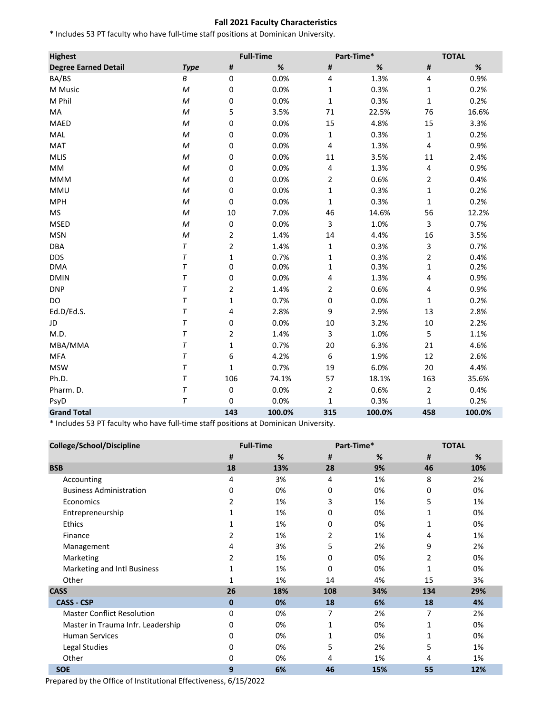## **Fall 2021 Faculty Characteristics**

\* Includes 53 PT faculty who have full-time staff positions at Dominican University.

| <b>Highest</b>              |                  |                         | <b>Full-Time</b> |                  | Part-Time* |                | <b>TOTAL</b> |
|-----------------------------|------------------|-------------------------|------------------|------------------|------------|----------------|--------------|
| <b>Degree Earned Detail</b> | <b>Type</b>      | #                       | $\%$             | #                | $\%$       | #              | $\%$         |
| BA/BS                       | В                | $\pmb{0}$               | 0.0%             | 4                | 1.3%       | 4              | 0.9%         |
| M Music                     | M                | $\pmb{0}$               | 0.0%             | $\mathbf 1$      | 0.3%       | 1              | 0.2%         |
| M Phil                      | M                | 0                       | 0.0%             | $\mathbf{1}$     | 0.3%       | $\mathbf{1}$   | 0.2%         |
| MA                          | M                | 5                       | 3.5%             | 71               | 22.5%      | 76             | 16.6%        |
| MAED                        | M                | 0                       | 0.0%             | 15               | 4.8%       | 15             | 3.3%         |
| MAL                         | M                | $\pmb{0}$               | 0.0%             | $\mathbf{1}$     | 0.3%       | $\mathbf{1}$   | 0.2%         |
| <b>MAT</b>                  | $\boldsymbol{M}$ | 0                       | 0.0%             | 4                | 1.3%       | 4              | 0.9%         |
| <b>MLIS</b>                 | M                | $\pmb{0}$               | 0.0%             | 11               | 3.5%       | $11\,$         | 2.4%         |
| MM                          | M                | $\pmb{0}$               | 0.0%             | 4                | 1.3%       | 4              | 0.9%         |
| <b>MMM</b>                  | M                | $\pmb{0}$               | 0.0%             | $\overline{2}$   | 0.6%       | $\overline{2}$ | 0.4%         |
| <b>MMU</b>                  | M                | $\mathbf 0$             | 0.0%             | $\mathbf{1}$     | 0.3%       | $\mathbf{1}$   | 0.2%         |
| <b>MPH</b>                  | M                | $\mathbf 0$             | 0.0%             | $\mathbf 1$      | 0.3%       | 1              | 0.2%         |
| <b>MS</b>                   | M                | $10\,$                  | 7.0%             | 46               | 14.6%      | 56             | 12.2%        |
| <b>MSED</b>                 | M                | $\pmb{0}$               | 0.0%             | 3                | 1.0%       | 3              | 0.7%         |
| <b>MSN</b>                  | M                | $\overline{\mathbf{c}}$ | 1.4%             | 14               | 4.4%       | 16             | 3.5%         |
| <b>DBA</b>                  | T                | $\overline{\mathbf{c}}$ | 1.4%             | $\mathbf 1$      | 0.3%       | 3              | 0.7%         |
| <b>DDS</b>                  | T                | 1                       | 0.7%             | 1                | 0.3%       | 2              | 0.4%         |
| <b>DMA</b>                  | T                | $\mathbf 0$             | 0.0%             | $\mathbf 1$      | 0.3%       | 1              | 0.2%         |
| <b>DMIN</b>                 | $\tau$           | 0                       | 0.0%             | 4                | 1.3%       | 4              | 0.9%         |
| <b>DNP</b>                  | T                | 2                       | 1.4%             | 2                | 0.6%       | 4              | 0.9%         |
| DO                          | T                | 1                       | 0.7%             | 0                | 0.0%       | 1              | 0.2%         |
| Ed.D/Ed.S.                  | $\tau$           | 4                       | 2.8%             | 9                | 2.9%       | 13             | 2.8%         |
| JD                          | T                | 0                       | 0.0%             | 10               | 3.2%       | $10\,$         | 2.2%         |
| M.D.                        | $\tau$           | $\overline{2}$          | 1.4%             | 3                | 1.0%       | 5              | 1.1%         |
| MBA/MMA                     | T                | $\mathbf 1$             | 0.7%             | 20               | 6.3%       | 21             | 4.6%         |
| <b>MFA</b>                  | T                | 6                       | 4.2%             | $\boldsymbol{6}$ | 1.9%       | 12             | 2.6%         |
| <b>MSW</b>                  | T                | 1                       | 0.7%             | 19               | 6.0%       | 20             | 4.4%         |
| Ph.D.                       | T                | 106                     | 74.1%            | 57               | 18.1%      | 163            | 35.6%        |
| Pharm. D.                   | T                | $\pmb{0}$               | 0.0%             | $\overline{2}$   | 0.6%       | $\overline{2}$ | 0.4%         |
| PsyD                        | T                | 0                       | 0.0%             | 1                | 0.3%       | 1              | 0.2%         |
| <b>Grand Total</b>          |                  | 143                     | 100.0%           | 315              | 100.0%     | 458            | 100.0%       |

\* Includes 53 PT faculty who have full-time staff positions at Dominican University.

| College/School/Discipline         | <b>Full-Time</b> |     |          | Part-Time* | <b>TOTAL</b> |     |
|-----------------------------------|------------------|-----|----------|------------|--------------|-----|
|                                   | #                | %   | #        | %          | #            | %   |
| <b>BSB</b>                        | 18               | 13% | 28       | 9%         | 46           | 10% |
| Accounting                        | 4                | 3%  | 4        | 1%         | 8            | 2%  |
| <b>Business Administration</b>    | 0                | 0%  | 0        | 0%         | 0            | 0%  |
| Economics                         | 2                | 1%  | 3        | 1%         | 5            | 1%  |
| Entrepreneurship                  | 1                | 1%  | 0        | 0%         | 1            | 0%  |
| <b>Ethics</b>                     | 1                | 1%  | 0        | 0%         | 1            | 0%  |
| Finance                           | 2                | 1%  | 2        | 1%         | 4            | 1%  |
| Management                        | 4                | 3%  | 5        | 2%         | 9            | 2%  |
| Marketing                         | 2                | 1%  | 0        | 0%         | 2            | 0%  |
| Marketing and Intl Business       |                  | 1%  | $\Omega$ | 0%         | 1            | 0%  |
| Other                             |                  | 1%  | 14       | 4%         | 15           | 3%  |
| <b>CASS</b>                       | 26               | 18% | 108      | 34%        | 134          | 29% |
| <b>CASS - CSP</b>                 | $\bf{0}$         | 0%  | 18       | 6%         | 18           | 4%  |
| <b>Master Conflict Resolution</b> | 0                | 0%  | 7        | 2%         | 7            | 2%  |
| Master in Trauma Infr. Leadership | 0                | 0%  | 1        | 0%         | 1            | 0%  |
| <b>Human Services</b>             | 0                | 0%  | 1        | 0%         | 1            | 0%  |
| Legal Studies                     | 0                | 0%  | 5        | 2%         | 5            | 1%  |
| Other                             | 0                | 0%  | 4        | 1%         | 4            | 1%  |
| <b>SOE</b>                        | 9                | 6%  | 46       | 15%        | 55           | 12% |

Prepared by the Office of Institutional Effectiveness, 6/15/2022